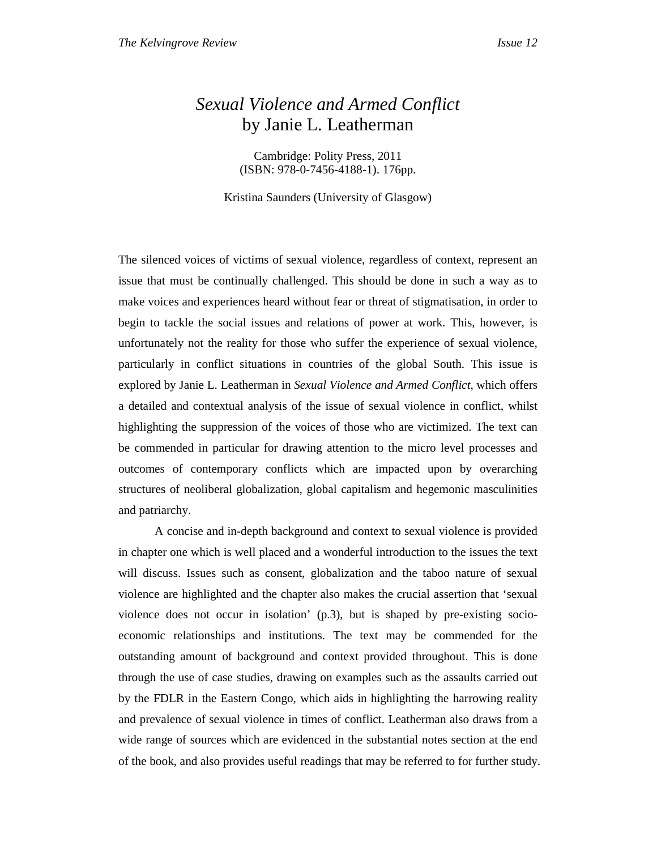## *Sexual Violence and Armed Conflict*  by Janie L. Leatherman

Cambridge: Polity Press, 2011 (ISBN: 978-0-7456-4188-1). 176pp.

Kristina Saunders (University of Glasgow)

The silenced voices of victims of sexual violence, regardless of context, represent an issue that must be continually challenged. This should be done in such a way as to make voices and experiences heard without fear or threat of stigmatisation, in order to begin to tackle the social issues and relations of power at work. This, however, is unfortunately not the reality for those who suffer the experience of sexual violence, particularly in conflict situations in countries of the global South. This issue is explored by Janie L. Leatherman in *Sexual Violence and Armed Conflict*, which offers a detailed and contextual analysis of the issue of sexual violence in conflict, whilst highlighting the suppression of the voices of those who are victimized. The text can be commended in particular for drawing attention to the micro level processes and outcomes of contemporary conflicts which are impacted upon by overarching structures of neoliberal globalization, global capitalism and hegemonic masculinities and patriarchy.

A concise and in-depth background and context to sexual violence is provided in chapter one which is well placed and a wonderful introduction to the issues the text will discuss. Issues such as consent, globalization and the taboo nature of sexual violence are highlighted and the chapter also makes the crucial assertion that 'sexual violence does not occur in isolation' (p.3), but is shaped by pre-existing socioeconomic relationships and institutions. The text may be commended for the outstanding amount of background and context provided throughout. This is done through the use of case studies, drawing on examples such as the assaults carried out by the FDLR in the Eastern Congo, which aids in highlighting the harrowing reality and prevalence of sexual violence in times of conflict. Leatherman also draws from a wide range of sources which are evidenced in the substantial notes section at the end of the book, and also provides useful readings that may be referred to for further study.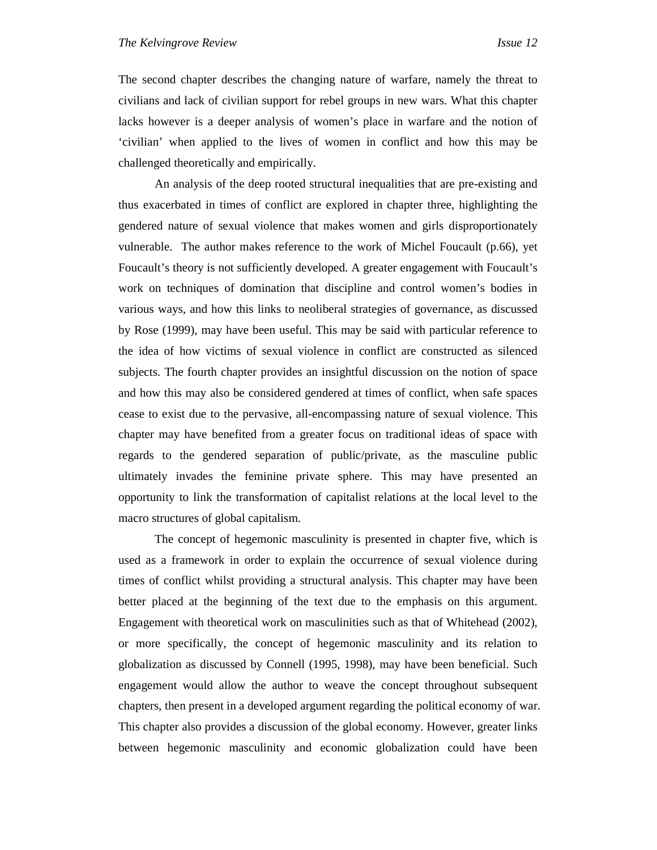The second chapter describes the changing nature of warfare, namely the threat to civilians and lack of civilian support for rebel groups in new wars. What this chapter lacks however is a deeper analysis of women's place in warfare and the notion of 'civilian' when applied to the lives of women in conflict and how this may be challenged theoretically and empirically.

An analysis of the deep rooted structural inequalities that are pre-existing and thus exacerbated in times of conflict are explored in chapter three, highlighting the gendered nature of sexual violence that makes women and girls disproportionately vulnerable. The author makes reference to the work of Michel Foucault (p.66), yet Foucault's theory is not sufficiently developed. A greater engagement with Foucault's work on techniques of domination that discipline and control women's bodies in various ways, and how this links to neoliberal strategies of governance, as discussed by Rose (1999), may have been useful. This may be said with particular reference to the idea of how victims of sexual violence in conflict are constructed as silenced subjects. The fourth chapter provides an insightful discussion on the notion of space and how this may also be considered gendered at times of conflict, when safe spaces cease to exist due to the pervasive, all-encompassing nature of sexual violence. This chapter may have benefited from a greater focus on traditional ideas of space with regards to the gendered separation of public/private, as the masculine public ultimately invades the feminine private sphere. This may have presented an opportunity to link the transformation of capitalist relations at the local level to the macro structures of global capitalism.

The concept of hegemonic masculinity is presented in chapter five, which is used as a framework in order to explain the occurrence of sexual violence during times of conflict whilst providing a structural analysis. This chapter may have been better placed at the beginning of the text due to the emphasis on this argument. Engagement with theoretical work on masculinities such as that of Whitehead (2002), or more specifically, the concept of hegemonic masculinity and its relation to globalization as discussed by Connell (1995, 1998), may have been beneficial. Such engagement would allow the author to weave the concept throughout subsequent chapters, then present in a developed argument regarding the political economy of war. This chapter also provides a discussion of the global economy. However, greater links between hegemonic masculinity and economic globalization could have been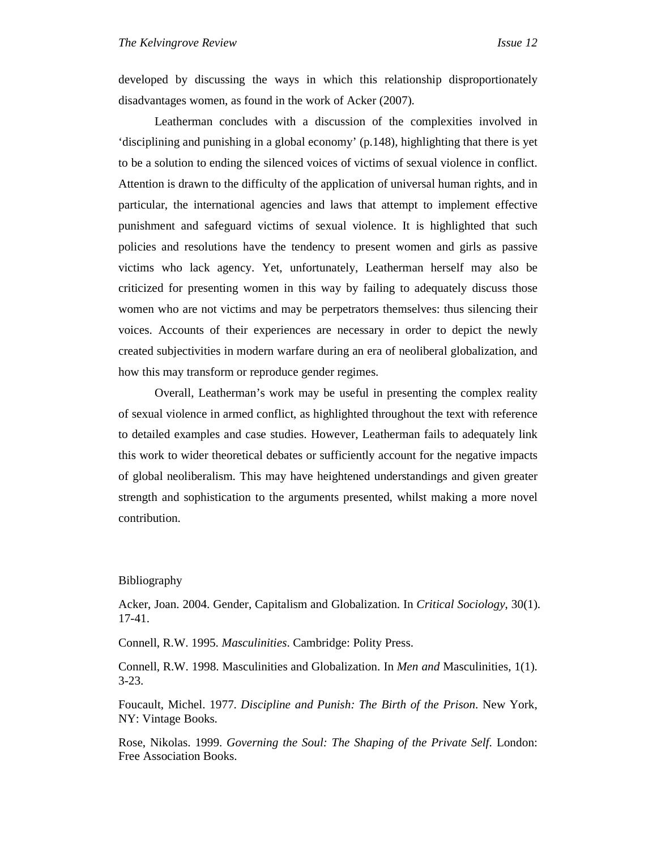developed by discussing the ways in which this relationship disproportionately disadvantages women, as found in the work of Acker (2007).

Leatherman concludes with a discussion of the complexities involved in 'disciplining and punishing in a global economy' (p.148), highlighting that there is yet to be a solution to ending the silenced voices of victims of sexual violence in conflict. Attention is drawn to the difficulty of the application of universal human rights, and in particular, the international agencies and laws that attempt to implement effective punishment and safeguard victims of sexual violence. It is highlighted that such policies and resolutions have the tendency to present women and girls as passive victims who lack agency. Yet, unfortunately, Leatherman herself may also be criticized for presenting women in this way by failing to adequately discuss those women who are not victims and may be perpetrators themselves: thus silencing their voices. Accounts of their experiences are necessary in order to depict the newly created subjectivities in modern warfare during an era of neoliberal globalization, and how this may transform or reproduce gender regimes.

Overall, Leatherman's work may be useful in presenting the complex reality of sexual violence in armed conflict, as highlighted throughout the text with reference to detailed examples and case studies. However, Leatherman fails to adequately link this work to wider theoretical debates or sufficiently account for the negative impacts of global neoliberalism. This may have heightened understandings and given greater strength and sophistication to the arguments presented, whilst making a more novel contribution.

## Bibliography

Acker, Joan. 2004. Gender, Capitalism and Globalization. In *Critical Sociology*, 30(1). 17-41.

Connell, R.W. 1995. *Masculinities*. Cambridge: Polity Press.

Connell, R.W. 1998. Masculinities and Globalization. In *Men and* Masculinities, 1(1). 3-23.

Foucault, Michel. 1977. *Discipline and Punish: The Birth of the Prison*. New York, NY: Vintage Books.

Rose, Nikolas. 1999. *Governing the Soul: The Shaping of the Private Self*. London: Free Association Books.